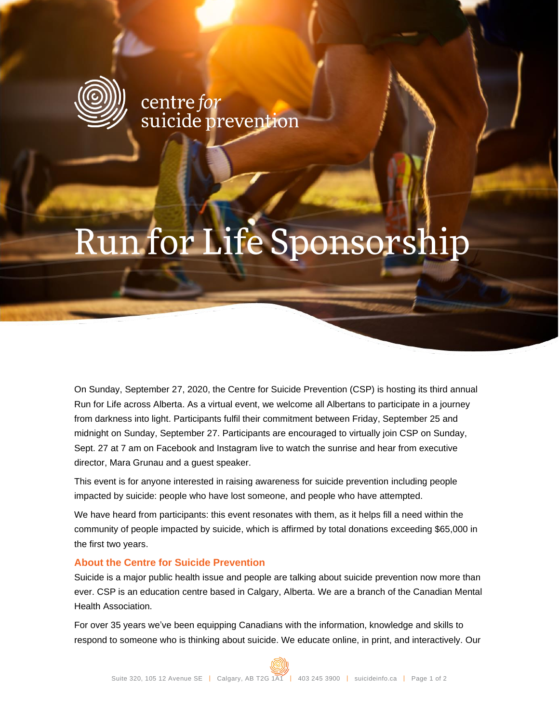

centre*for*<br>suicide prevention

# Run for Life Sponsorship

On Sunday, September 27, 2020, the Centre for Suicide Prevention (CSP) is hosting its third annual Run for Life across Alberta. As a virtual event, we welcome all Albertans to participate in a journey from darkness into light. Participants fulfil their commitment between Friday, September 25 and midnight on Sunday, September 27. Participants are encouraged to virtually join CSP on Sunday, Sept. 27 at 7 am on Facebook and Instagram live to watch the sunrise and hear from executive director, Mara Grunau and a guest speaker.

This event is for anyone interested in raising awareness for suicide prevention including people impacted by suicide: people who have lost someone, and people who have attempted.

We have heard from participants: this event resonates with them, as it helps fill a need within the community of people impacted by suicide, which is affirmed by total donations exceeding \$65,000 in the first two years.

#### **About the Centre for Suicide Prevention**

Suicide is a major public health issue and people are talking about suicide prevention now more than ever. CSP is an education centre based in Calgary, Alberta. We are a branch of the Canadian Mental Health Association.

For over 35 years we've been equipping Canadians with the information, knowledge and skills to respond to someone who is thinking about suicide. We educate online, in print, and interactively. Our